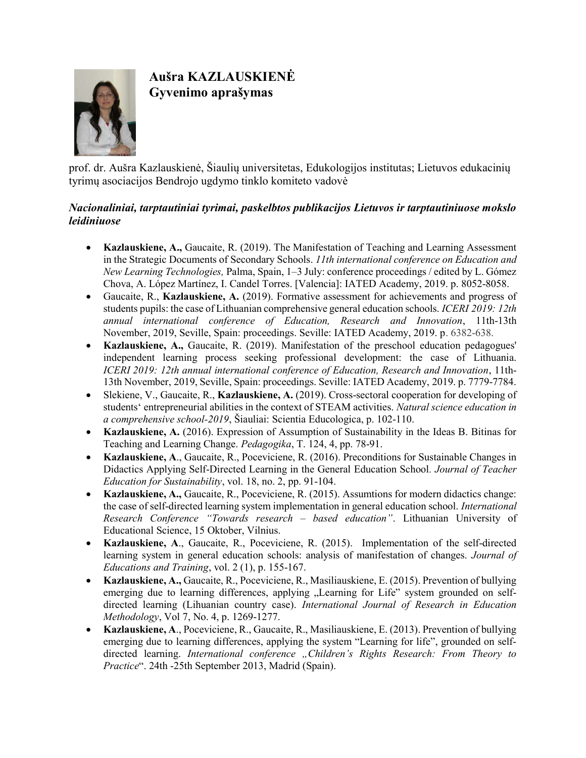

## Aušra KAZLAUSKIENĖ Gyvenimo aprašymas

prof. dr. Aušra Kazlauskienė, Šiaulių universitetas, Edukologijos institutas; Lietuvos edukacinių tyrimų asociacijos Bendrojo ugdymo tinklo komiteto vadovė

## Nacionaliniai, tarptautiniai tyrimai, paskelbtos publikacijos Lietuvos ir tarptautiniuose mokslo leidiniuose

- Kazlauskiene, A., Gaucaite, R. (2019). The Manifestation of Teaching and Learning Assessment in the Strategic Documents of Secondary Schools. 11th international conference on Education and New Learning Technologies, Palma, Spain, 1–3 July: conference proceedings / edited by L. Gómez Chova, A. López Martínez, I. Candel Torres. [Valencia]: IATED Academy, 2019. p. 8052-8058.
- Gaucaite, R., Kazlauskiene, A. (2019). Formative assessment for achievements and progress of students pupils: the case of Lithuanian comprehensive general education schools. ICERI 2019: 12th annual international conference of Education, Research and Innovation, 11th-13th November, 2019, Seville, Spain: proceedings. Seville: IATED Academy, 2019. p. 6382-638.
- Kazlauskiene, A., Gaucaite, R. (2019). Manifestation of the preschool education pedagogues' independent learning process seeking professional development: the case of Lithuania. ICERI 2019: 12th annual international conference of Education, Research and Innovation, 11th-13th November, 2019, Seville, Spain: proceedings. Seville: IATED Academy, 2019. p. 7779-7784.
- Slekiene, V., Gaucaite, R., Kazlauskiene, A. (2019). Cross-sectoral cooperation for developing of students' entrepreneurial abilities in the context of STEAM activities. Natural science education in a comprehensive school-2019, Šiauliai: Scientia Educologica, p. 102-110.
- Kazlauskiene, A. (2016). Expression of Assumption of Sustainability in the Ideas B. Bitinas for Teaching and Learning Change. Pedagogika, T. 124, 4, pp. 78-91.
- Kazlauskiene, A., Gaucaite, R., Poceviciene, R. (2016). Preconditions for Sustainable Changes in Didactics Applying Self-Directed Learning in the General Education School. Journal of Teacher Education for Sustainability, vol. 18, no. 2, pp. 91-104.
- Kazlauskiene, A., Gaucaite, R., Poceviciene, R. (2015). Assumtions for modern didactics change: the case of self-directed learning system implementation in general education school. International Research Conference "Towards research – based education". Lithuanian University of Educational Science, 15 Oktober, Vilnius.
- Kazlauskiene, A., Gaucaite, R., Poceviciene, R. (2015). Implementation of the self-directed learning system in general education schools: analysis of manifestation of changes. Journal of Educations and Training, vol. 2 (1), p. 155-167.
- Kazlauskiene, A., Gaucaite, R., Poceviciene, R., Masiliauskiene, E. (2015). Prevention of bullying emerging due to learning differences, applying "Learning for Life" system grounded on selfdirected learning (Lihuanian country case). International Journal of Research in Education Methodology, Vol 7, No. 4, p. 1269-1277.
- Kazlauskiene, A., Poceviciene, R., Gaucaite, R., Masiliauskiene, E. (2013). Prevention of bullying emerging due to learning differences, applying the system "Learning for life", grounded on selfdirected learning. International conference "Children's Rights Research: From Theory to Practice". 24th -25th September 2013, Madrid (Spain).